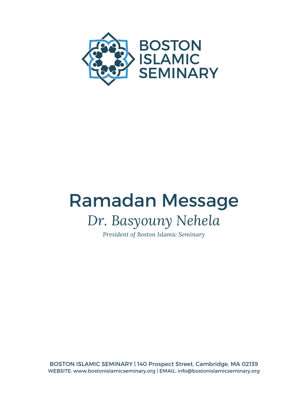

# Ramadan Message *Dr. Basyouny Nehela*

*President of Boston Islamic Seminary*

BOSTON ISLAMIC SEMINARY | 140 Prospect Street, Cambridge, MA 02139 WEBSITE: www.bostonislamicseminary.org | EMAIL: info@bostonislamicseminary.org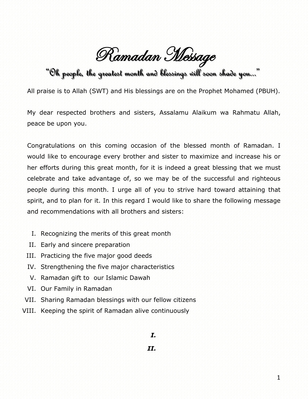Ramadan Message

"Oh people,, the greatest month and blessings will soon shade you......"

All praise is to Allah (SWT) and His blessings are on the Prophet Mohamed (PBUH).

My dear respected brothers and sisters, Assalamu Alaikum wa Rahmatu Allah, peace be upon you.

Congratulations on this coming occasion of the blessed month of Ramadan. I would like to encourage every brother and sister to maximize and increase his or her efforts during this great month, for it is indeed a great blessing that we must celebrate and take advantage of, so we may be of the successful and righteous people during this month. I urge all of you to strive hard toward attaining that spirit, and to plan for it. In this regard I would like to share the following message and recommendations with all brothers and sisters:

- I. Recognizing the merits of this great month
- II. Early and sincere preparation
- III. Practicing the five major good deeds
- IV. Strengthening the five major characteristics
- V. Ramadan gift to our Islamic Dawah
- VI. Our Family in Ramadan
- VII. Sharing Ramadan blessings with our fellow citizens
- VIII. Keeping the spirit of Ramadan alive continuously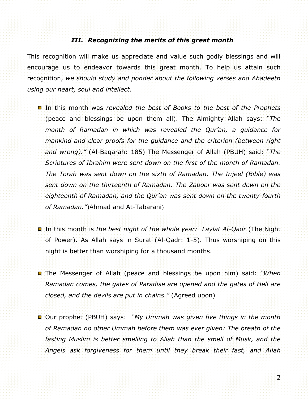### *III. Recognizing the merits of this great month*

This recognition will make us appreciate and value such godly blessings and will encourage us to endeavor towards this great month. To help us attain such recognition, *we should study and ponder about the following verses and Ahadeeth using our heart, soul and intellect*.

- In this month was *revealed the best of Books to the best of the Prophets* (peace and blessings be upon them all). The Almighty Allah says: *"The month of Ramadan in which was revealed the Qur'an, a guidance for mankind and clear proofs for the guidance and the criterion (between right and wrong)."* (Al-Baqarah: 185) The Messenger of Allah (PBUH) said: *"The Scriptures of Ibrahim were sent down on the first of the month of Ramadan. The Torah was sent down on the sixth of Ramadan. The Injeel (Bible) was sent down on the thirteenth of Ramadan. The Zaboor was sent down on the eighteenth of Ramadan, and the Qur'an was sent down on the twenty-fourth*  of Ramadan.<sup>*"*</sup>)Ahmad and At-Tabarani)
- In this month is *the best night of the whole year: Laylat Al-Qadr* (The Night of Power). As Allah says in Surat (Al-Qadr: 1-5). Thus worshiping on this night is better than worshiping for a thousand months.
- The Messenger of Allah (peace and blessings be upon him) said: "When *Ramadan comes, the gates of Paradise are opened and the gates of Hell are closed, and the devils are put in chains."* (Agreed upon)
- Our prophet (PBUH) says: *"My Ummah was given five things in the month of Ramadan no other Ummah before them was ever given: The breath of the fasting Muslim is better smelling to Allah than the smell of Musk, and the Angels ask forgiveness for them until they break their fast, and Allah*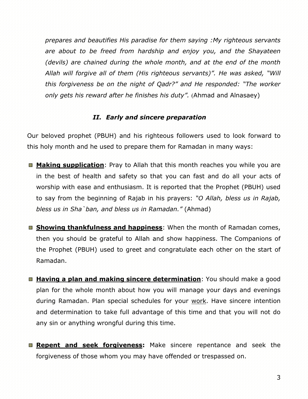*prepares and beautifies His paradise for them saying :My righteous servants are about to be freed from hardship and enjoy you, and the Shayateen (devils) are chained during the whole month, and at the end of the month Allah will forgive all of them (His righteous servants)". He was asked, "Will this forgiveness be on the night of Qadr?" and He responded: "The worker only gets his reward after he finishes his duty<sup>"</sup>.* (Ahmad and Alnasaey)

## *II. Early and sincere preparation*

Our beloved prophet (PBUH) and his righteous followers used to look forward to this holy month and he used to prepare them for Ramadan in many ways:

- **Making supplication**: Pray to Allah that this month reaches you while you are in the best of health and safety so that you can fast and do all your acts of worship with ease and enthusiasm. It is reported that the Prophet (PBUH) used to say from the beginning of Rajab in his prayers: *"O Allah, bless us in Rajab, bless us in Sha`ban, and bless us in Ramadan."* (Ahmad)
- **Showing thankfulness and happiness**: When the month of Ramadan comes, then you should be grateful to Allah and show happiness. The Companions of the Prophet (PBUH) used to greet and congratulate each other on the start of Ramadan.
- **Having a plan and making sincere determination**: You should make a good plan for the whole month about how you will manage your days and evenings during Ramadan. Plan special schedules for your work. Have sincere intention and determination to take full advantage of this time and that you will not do any sin or anything wrongful during this time.
- **Repent and seek forgiveness:** Make sincere repentance and seek the forgiveness of those whom you may have offended or trespassed on.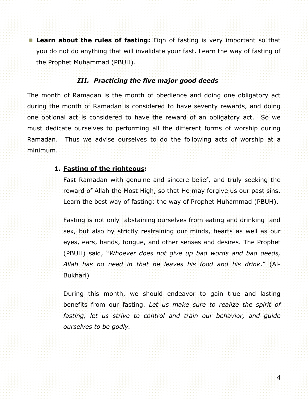■ **Learn about the rules of fasting:** Figh of fasting is very important so that you do not do anything that will invalidate your fast. Learn the way of fasting of the Prophet Muhammad (PBUH).

## *III. Practicing the five major good deeds*

The month of Ramadan is the month of obedience and doing one obligatory act during the month of Ramadan is considered to have seventy rewards, and doing one optional act is considered to have the reward of an obligatory act. So we must dedicate ourselves to performing all the different forms of worship during Ramadan. Thus we advise ourselves to do the following acts of worship at a minimum.

## **1. Fasting of the righteous:**

Fast Ramadan with genuine and sincere belief, and truly seeking the reward of Allah the Most High, so that He may forgive us our past sins. Learn the best way of fasting: the way of Prophet Muhammad (PBUH).

Fasting is not only abstaining ourselves from eating and drinking and sex, but also by strictly restraining our minds, hearts as well as our eyes, ears, hands, tongue, and other senses and desires. The Prophet (PBUH) said, "*Whoever does not give up bad words and bad deeds, Allah has no need in that he leaves his food and his drink*." (Al-Bukhari)

During this month, we should endeavor to gain true and lasting benefits from our fasting. *Let us make sure to realize the spirit of fasting, let us strive to control and train our behavior, and guide ourselves to be godly.*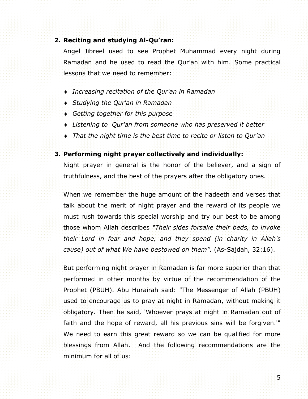## **2. Reciting and studying Al-Qu'ran:**

Angel Jibreel used to see Prophet Muhammad every night during Ramadan and he used to read the Qur'an with him. Some practical lessons that we need to remember:

- *Increasing recitation of the Qur'an in Ramadan*
- *Studying the Qur'an in Ramadan*
- *Getting together for this purpose*
- *Listening to Qur'an from someone who has preserved it better*
- *That the night time is the best time to recite or listen to Qur'an*

#### **3. Performing night prayer collectively and individually:**

Night prayer in general is the honor of the believer, and a sign of truthfulness, and the best of the prayers after the obligatory ones.

When we remember the huge amount of the hadeeth and verses that talk about the merit of night prayer and the reward of its people we must rush towards this special worship and try our best to be among those whom Allah describes *"Their sides forsake their beds, to invoke their Lord in fear and hope, and they spend (in charity in Allah's cause) out of what We have bestowed on them".* (As-Sajdah, 32:16).

But performing night prayer in Ramadan is far more superior than that performed in other months by virtue of the recommendation of the Prophet (PBUH). Abu Hurairah said: "The Messenger of Allah (PBUH) used to encourage us to pray at night in Ramadan, without making it obligatory. Then he said, 'Whoever prays at night in Ramadan out of faith and the hope of reward, all his previous sins will be forgiven.'" We need to earn this great reward so we can be qualified for more blessings from Allah. And the following recommendations are the minimum for all of us: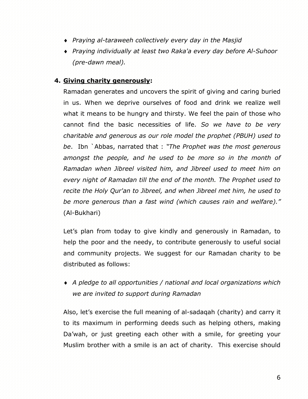- *Praying al-taraweeh collectively every day in the Masjid*
- *Praying individually at least two Raka'a every day before Al-Suhoor (pre-dawn meal).*

## **4. Giving charity generously:**

Ramadan generates and uncovers the spirit of giving and caring buried in us. When we deprive ourselves of food and drink we realize well what it means to be hungry and thirsty. We feel the pain of those who cannot find the basic necessities of life. *So we have to be very charitable and generous as our role model the prophet (PBUH) used to be*. Ibn `Abbas, narrated that : *"The Prophet was the most generous amongst the people, and he used to be more so in the month of Ramadan when Jibreel visited him, and Jibreel used to meet him on every night of Ramadan till the end of the month. The Prophet used to recite the Holy Qur'an to Jibreel, and when Jibreel met him, he used to be more generous than a fast wind (which causes rain and welfare)."* (Al-Bukhari)

Let's plan from today to give kindly and generously in Ramadan, to help the poor and the needy, to contribute generously to useful social and community projects. We suggest for our Ramadan charity to be distributed as follows:

 *A pledge to all opportunities / national and local organizations which we are invited to support during Ramadan*

Also, let's exercise the full meaning of al-sadaqah (charity) and carry it to its maximum in performing deeds such as helping others, making Da'wah, or just greeting each other with a smile, for greeting your Muslim brother with a smile is an act of charity. This exercise should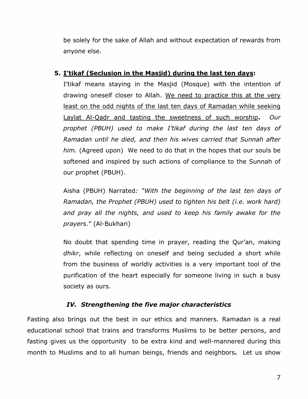be solely for the sake of Allah and without expectation of rewards from anyone else.

## **5. I'tikaf (Seclusion in the Masjid) during the last ten days:**

I'tikaf means staying in the Masjid (Mosque) with the intention of drawing oneself closer to Allah. We need to practice this at the very least on the odd nights of the last ten days of Ramadan while seeking Laylat Al-Qadr and tasting the sweetness of such worship**.** *Our prophet (PBUH) used to make I'tikaf during the last ten days of Ramadan until he died, and then his wives carried that Sunnah after him.* (Agreed upon) We need to do that in the hopes that our souls be softened and inspired by such actions of compliance to the Sunnah of our prophet (PBUH).

Aisha (PBUH) Narrated*: "With the beginning of the last ten days of Ramadan, the Prophet (PBUH) used to tighten his belt (i.e. work hard) and pray all the nights, and used to keep his family awake for the prayers*." (Al-Bukhari)

No doubt that spending time in prayer, reading the Qur'an, making *dhikr*, while reflecting on oneself and being secluded a short while from the business of worldly activities is a very important tool of the purification of the heart especially for someone living in such a busy society as ours.

## *IV. Strengthening the five major characteristics*

Fasting also brings out the best in our ethics and manners. Ramadan is a real educational school that trains and transforms Muslims to be better persons, and fasting gives us the opportunity to be extra kind and well-mannered during this month to Muslims and to all human beings, friends and neighbors*.* Let us show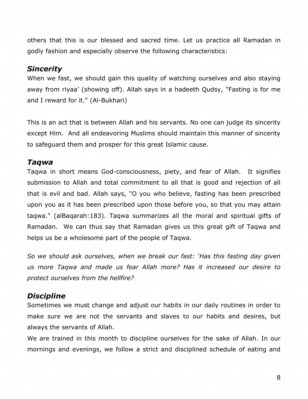others that this is our blessed and sacred time. Let us practice all Ramadan in godly fashion and especially observe the following characteristics:

## *Sincerity*

When we fast, we should gain this quality of watching ourselves and also staying away from riyaa' (showing off). Allah says in a hadeeth Qudsy, "Fasting is for me and I reward for it." (Al-Bukhari)

This is an act that is between Allah and his servants. No one can judge its sincerity except Him. And all endeavoring Muslims should maintain this manner of sincerity to safeguard them and prosper for this great Islamic cause.

## *Taqwa*

Taqwa in short means God-consciousness, piety, and fear of Allah. It signifies submission to Allah and total commitment to all that is good and rejection of all that is evil and bad. Allah says, "O you who believe, fasting has been prescribed upon you as it has been prescribed upon those before you, so that you may attain taqwa." (alBaqarah:183). Taqwa summarizes all the moral and spiritual gifts of Ramadan. We can thus say that Ramadan gives us this great gift of Taqwa and helps us be a wholesome part of the people of Taqwa.

*So we should ask ourselves, when we break our fast: 'Has this fasting day given us more Taqwa and made us fear Allah more? Has it increased our desire to protect ourselves from the hellfire?* 

## *Discipline*

Sometimes we must change and adjust our habits in our daily routines in order to make sure we are not the servants and slaves to our habits and desires, but always the servants of Allah.

We are trained in this month to discipline ourselves for the sake of Allah. In our mornings and evenings, we follow a strict and disciplined schedule of eating and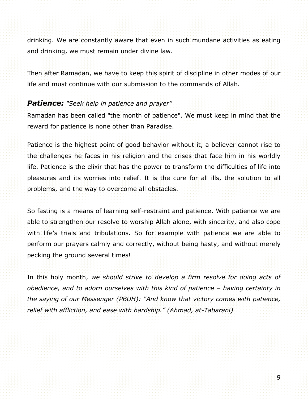drinking. We are constantly aware that even in such mundane activities as eating and drinking, we must remain under divine law.

Then after Ramadan, we have to keep this spirit of discipline in other modes of our life and must continue with our submission to the commands of Allah.

## *Patience: "Seek help in patience and prayer"*

Ramadan has been called "the month of patience". We must keep in mind that the reward for patience is none other than Paradise.

Patience is the highest point of good behavior without it, a believer cannot rise to the challenges he faces in his religion and the crises that face him in his worldly life. Patience is the elixir that has the power to transform the difficulties of life into pleasures and its worries into relief. It is the cure for all ills, the solution to all problems, and the way to overcome all obstacles.

So fasting is a means of learning self-restraint and patience. With patience we are able to strengthen our resolve to worship Allah alone, with sincerity, and also cope with life's trials and tribulations. So for example with patience we are able to perform our prayers calmly and correctly, without being hasty, and without merely pecking the ground several times!

In this holy month, *we should strive to develop a firm resolve for doing acts of obedience, and to adorn ourselves with this kind of patience – having certainty in the saying of our Messenger (PBUH): "And know that victory comes with patience, relief with affliction, and ease with hardship." (Ahmad, at-Tabarani)*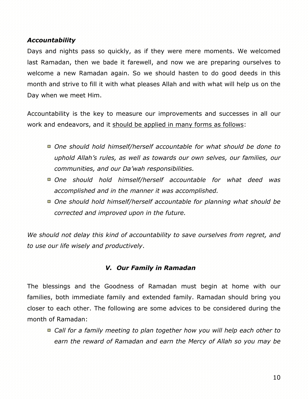## *Accountability*

Days and nights pass so quickly, as if they were mere moments. We welcomed last Ramadan, then we bade it farewell, and now we are preparing ourselves to welcome a new Ramadan again. So we should hasten to do good deeds in this month and strive to fill it with what pleases Allah and with what will help us on the Day when we meet Him.

Accountability is the key to measure our improvements and successes in all our work and endeavors, and it should be applied in many forms as follows:

- *One should hold himself/herself accountable for what should be done to uphold Allah's rules, as well as towards our own selves, our families, our communities, and our Da'wah responsibilities.*
- *One should hold himself/herself accountable for what deed was accomplished and in the manner it was accomplished.*
- *One should hold himself/herself accountable for planning what should be corrected and improved upon in the future.*

We should not delay this kind of accountability to save ourselves from regret, and *to use our life wisely and productively*.

## *V. Our Family in Ramadan*

The blessings and the Goodness of Ramadan must begin at home with our families, both immediate family and extended family. Ramadan should bring you closer to each other. The following are some advices to be considered during the month of Ramadan:

■ Call for a family meeting to plan together how you will help each other to *earn the reward of Ramadan and earn the Mercy of Allah so you may be*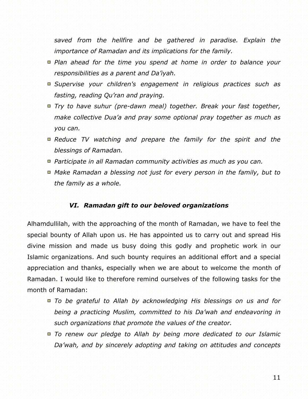*saved from the hellfire and be gathered in paradise. Explain the importance of Ramadan and its implications for the family.*

- *Plan ahead for the time you spend at home in order to balance your responsibilities as a parent and Da'iyah.*
- *Supervise your children's engagement in religious practices such as fasting, reading Qu'ran and praying.*
- *Try to have suhur (pre-dawn meal) together. Break your fast together, make collective Dua'a and pray some optional pray together as much as you can.*
- *Reduce TV watching and prepare the family for the spirit and the blessings of Ramadan.*
- *Participate in all Ramadan community activities as much as you can.*
- *Make Ramadan a blessing not just for every person in the family, but to the family as a whole.*

#### *VI. Ramadan gift to our beloved organizations*

Alhamdullilah, with the approaching of the month of Ramadan, we have to feel the special bounty of Allah upon us. He has appointed us to carry out and spread His divine mission and made us busy doing this godly and prophetic work in our Islamic organizations. And such bounty requires an additional effort and a special appreciation and thanks, especially when we are about to welcome the month of Ramadan. I would like to therefore remind ourselves of the following tasks for the month of Ramadan:

- *To be grateful to Allah by acknowledging His blessings on us and for being a practicing Muslim, committed to his Da'wah and endeavoring in such organizations that promote the values of the creator.*
- *To renew our pledge to Allah by being more dedicated to our Islamic Da'wah, and by sincerely adopting and taking on attitudes and concepts*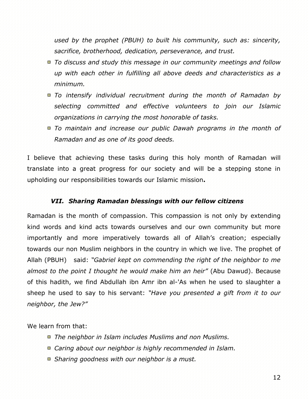*used by the prophet (PBUH) to built his community, such as: sincerity, sacrifice, brotherhood, dedication, perseverance, and trust.*

- *To discuss and study this message in our community meetings and follow up with each other in fulfilling all above deeds and characteristics as a minimum.*
- *To intensify individual recruitment during the month of Ramadan by selecting committed and effective volunteers to join our Islamic organizations in carrying the most honorable of tasks.*
- *To maintain and increase our public Dawah programs in the month of Ramadan and as one of its good deeds.*

I believe that achieving these tasks during this holy month of Ramadan will translate into a great progress for our society and will be a stepping stone in upholding our responsibilities towards our Islamic mission**.** 

## *VII. Sharing Ramadan blessings with our fellow citizens*

Ramadan is the month of compassion. This compassion is not only by extending kind words and kind acts towards ourselves and our own community but more importantly and more imperatively towards all of Allah's creation; especially towards our non Muslim neighbors in the country in which we live. The prophet of Allah (PBUH) said: *"Gabriel kept on commending the right of the neighbor to me almost to the point I thought he would make him an heir"* (Abu Dawud). Because of this hadith, we find Abdullah ibn Amr ibn al-'As when he used to slaughter a sheep he used to say to his servant: *"Have you presented a gift from it to our neighbor, the Jew?"*

We learn from that:

- *The neighbor in Islam includes Muslims and non Muslims.*
- *Caring about our neighbor is highly recommended in Islam.*
- *Sharing goodness with our neighbor is a must.*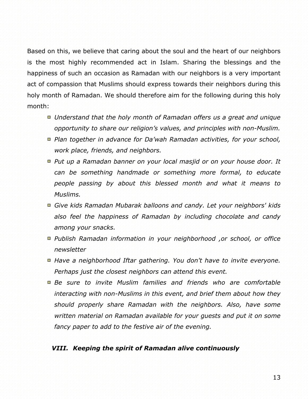Based on this, we believe that caring about the soul and the heart of our neighbors is the most highly recommended act in Islam. Sharing the blessings and the happiness of such an occasion as Ramadan with our neighbors is a very important act of compassion that Muslims should express towards their neighbors during this holy month of Ramadan. We should therefore aim for the following during this holy month:

- *Understand that the holy month of Ramadan offers us a great and unique opportunity to share our religion's values, and principles with non-Muslim.*
- *Plan together in advance for Da'wah Ramadan activities, for your school, work place, friends, and neighbors.*
- *Put up a Ramadan banner on your local masjid or on your house door. It can be something handmade or something more [formal,](http://www.soundvision.com/shop/view.asp?item=9235-001) to educate people passing by about this blessed month and what it means to Muslims.*
- *Give kids Ramadan Mubarak balloons and candy. Let your neighbors' kids also feel the happiness of Ramadan by including chocolate and candy among your snacks.*
- *Publish Ramadan information in your neighborhood ,or school, or office newsletter*
- *Have a neighborhood Iftar gathering. You don't have to invite everyone. Perhaps just the closest neighbors can attend this event.*
- *Be sure to invite Muslim families and friends who are comfortable interacting with non-Muslims in this event, and brief them about how they should properly share Ramadan with the neighbors. Also, have some written material on Ramadan available for your guests and put it on some fancy paper to add to the festive air of the evening.*

## *VIII. Keeping the spirit of Ramadan alive continuously*